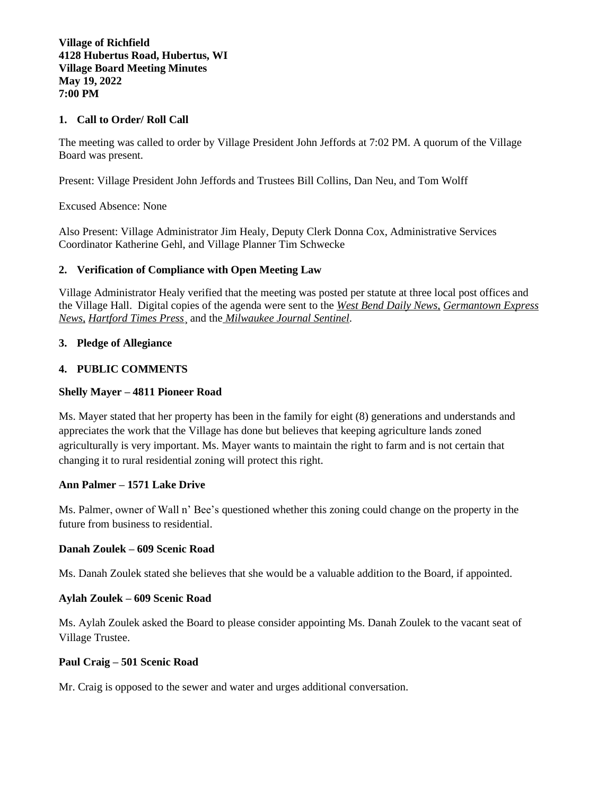## **1. Call to Order/ Roll Call**

The meeting was called to order by Village President John Jeffords at 7:02 PM. A quorum of the Village Board was present.

Present: Village President John Jeffords and Trustees Bill Collins, Dan Neu, and Tom Wolff

Excused Absence: None

Also Present: Village Administrator Jim Healy, Deputy Clerk Donna Cox, Administrative Services Coordinator Katherine Gehl, and Village Planner Tim Schwecke

## **2. Verification of Compliance with Open Meeting Law**

Village Administrator Healy verified that the meeting was posted per statute at three local post offices and the Village Hall. Digital copies of the agenda were sent to the *West Bend Daily News, Germantown Express News, Hartford Times Press*¸ and the *Milwaukee Journal Sentinel*.

#### **3. Pledge of Allegiance**

#### **4. PUBLIC COMMENTS**

#### **Shelly Mayer – 4811 Pioneer Road**

Ms. Mayer stated that her property has been in the family for eight (8) generations and understands and appreciates the work that the Village has done but believes that keeping agriculture lands zoned agriculturally is very important. Ms. Mayer wants to maintain the right to farm and is not certain that changing it to rural residential zoning will protect this right.

#### **Ann Palmer – 1571 Lake Drive**

Ms. Palmer, owner of Wall n' Bee's questioned whether this zoning could change on the property in the future from business to residential.

#### **Danah Zoulek – 609 Scenic Road**

Ms. Danah Zoulek stated she believes that she would be a valuable addition to the Board, if appointed.

### **Aylah Zoulek – 609 Scenic Road**

Ms. Aylah Zoulek asked the Board to please consider appointing Ms. Danah Zoulek to the vacant seat of Village Trustee.

#### **Paul Craig – 501 Scenic Road**

Mr. Craig is opposed to the sewer and water and urges additional conversation.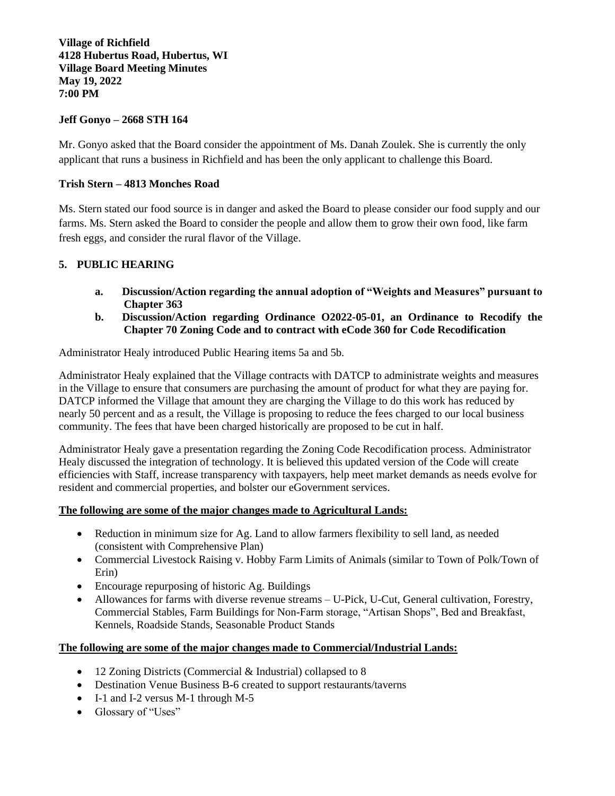## **Jeff Gonyo – 2668 STH 164**

Mr. Gonyo asked that the Board consider the appointment of Ms. Danah Zoulek. She is currently the only applicant that runs a business in Richfield and has been the only applicant to challenge this Board.

### **Trish Stern – 4813 Monches Road**

Ms. Stern stated our food source is in danger and asked the Board to please consider our food supply and our farms. Ms. Stern asked the Board to consider the people and allow them to grow their own food, like farm fresh eggs, and consider the rural flavor of the Village.

## **5. PUBLIC HEARING**

- **a. Discussion/Action regarding the annual adoption of "Weights and Measures" pursuant to Chapter 363**
- **b. Discussion/Action regarding Ordinance O2022-05-01, an Ordinance to Recodify the Chapter 70 Zoning Code and to contract with eCode 360 for Code Recodification**

Administrator Healy introduced Public Hearing items 5a and 5b.

Administrator Healy explained that the Village contracts with DATCP to administrate weights and measures in the Village to ensure that consumers are purchasing the amount of product for what they are paying for. DATCP informed the Village that amount they are charging the Village to do this work has reduced by nearly 50 percent and as a result, the Village is proposing to reduce the fees charged to our local business community. The fees that have been charged historically are proposed to be cut in half.

Administrator Healy gave a presentation regarding the Zoning Code Recodification process. Administrator Healy discussed the integration of technology. It is believed this updated version of the Code will create efficiencies with Staff, increase transparency with taxpayers, help meet market demands as needs evolve for resident and commercial properties, and bolster our eGovernment services.

#### **The following are some of the major changes made to Agricultural Lands:**

- Reduction in minimum size for Ag. Land to allow farmers flexibility to sell land, as needed (consistent with Comprehensive Plan)
- Commercial Livestock Raising v. Hobby Farm Limits of Animals (similar to Town of Polk/Town of Erin)
- Encourage repurposing of historic Ag. Buildings
- Allowances for farms with diverse revenue streams U-Pick, U-Cut, General cultivation, Forestry, Commercial Stables, Farm Buildings for Non-Farm storage, "Artisan Shops", Bed and Breakfast, Kennels, Roadside Stands, Seasonable Product Stands

## **The following are some of the major changes made to Commercial/Industrial Lands:**

- 12 Zoning Districts (Commercial & Industrial) collapsed to 8
- Destination Venue Business B-6 created to support restaurants/taverns
- I-1 and I-2 versus M-1 through M-5
- Glossary of "Uses"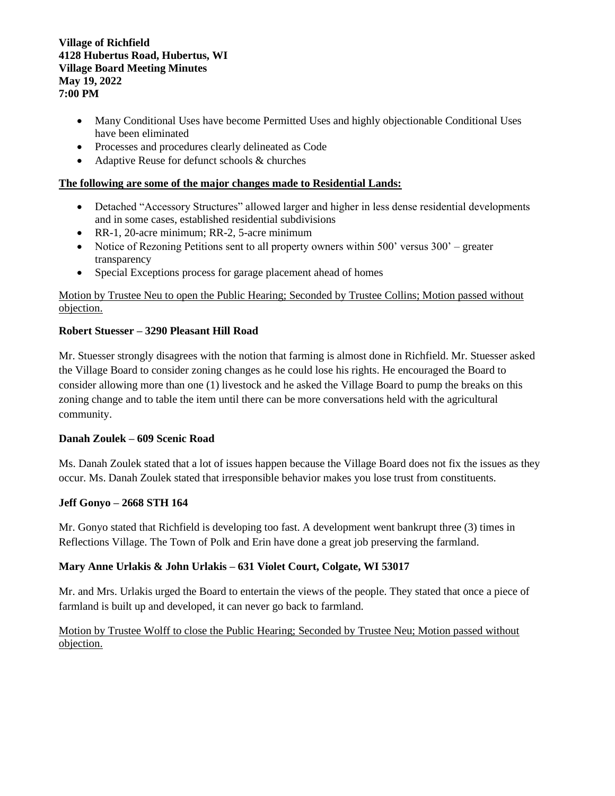- Many Conditional Uses have become Permitted Uses and highly objectionable Conditional Uses have been eliminated
- Processes and procedures clearly delineated as Code
- Adaptive Reuse for defunct schools & churches

## **The following are some of the major changes made to Residential Lands:**

- Detached "Accessory Structures" allowed larger and higher in less dense residential developments and in some cases, established residential subdivisions
- RR-1, 20-acre minimum; RR-2, 5-acre minimum
- Notice of Rezoning Petitions sent to all property owners within 500' versus 300' greater transparency
- Special Exceptions process for garage placement ahead of homes

# Motion by Trustee Neu to open the Public Hearing; Seconded by Trustee Collins; Motion passed without objection.

## **Robert Stuesser – 3290 Pleasant Hill Road**

Mr. Stuesser strongly disagrees with the notion that farming is almost done in Richfield. Mr. Stuesser asked the Village Board to consider zoning changes as he could lose his rights. He encouraged the Board to consider allowing more than one (1) livestock and he asked the Village Board to pump the breaks on this zoning change and to table the item until there can be more conversations held with the agricultural community.

## **Danah Zoulek – 609 Scenic Road**

Ms. Danah Zoulek stated that a lot of issues happen because the Village Board does not fix the issues as they occur. Ms. Danah Zoulek stated that irresponsible behavior makes you lose trust from constituents.

## **Jeff Gonyo – 2668 STH 164**

Mr. Gonyo stated that Richfield is developing too fast. A development went bankrupt three (3) times in Reflections Village. The Town of Polk and Erin have done a great job preserving the farmland.

# **Mary Anne Urlakis & John Urlakis – 631 Violet Court, Colgate, WI 53017**

Mr. and Mrs. Urlakis urged the Board to entertain the views of the people. They stated that once a piece of farmland is built up and developed, it can never go back to farmland.

# Motion by Trustee Wolff to close the Public Hearing; Seconded by Trustee Neu; Motion passed without objection.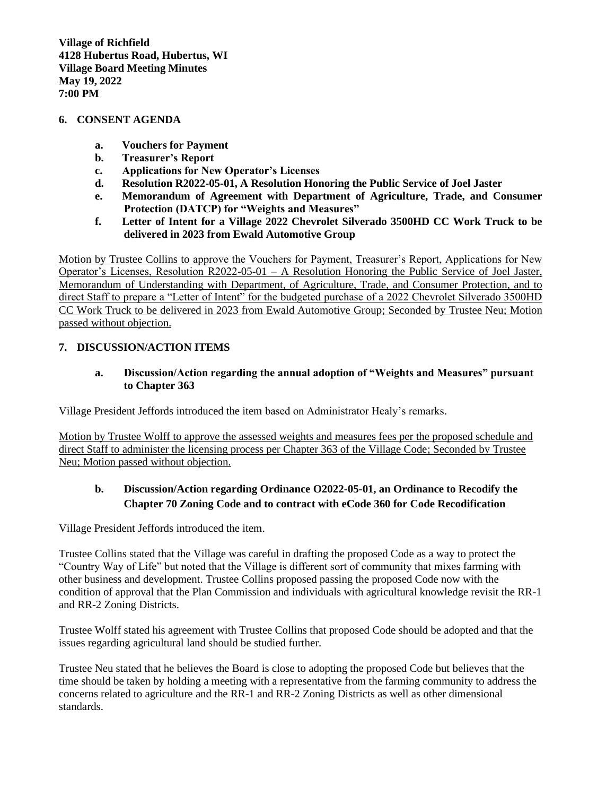#### **6. CONSENT AGENDA**

- **a. Vouchers for Payment**
- **b. Treasurer's Report**
- **c. Applications for New Operator's Licenses**
- **d. Resolution R2022-05-01, A Resolution Honoring the Public Service of Joel Jaster**
- **e. Memorandum of Agreement with Department of Agriculture, Trade, and Consumer Protection (DATCP) for "Weights and Measures"**
- **f. Letter of Intent for a Village 2022 Chevrolet Silverado 3500HD CC Work Truck to be delivered in 2023 from Ewald Automotive Group**

Motion by Trustee Collins to approve the Vouchers for Payment, Treasurer's Report, Applications for New Operator's Licenses, Resolution R2022-05-01 – A Resolution Honoring the Public Service of Joel Jaster, Memorandum of Understanding with Department, of Agriculture, Trade, and Consumer Protection, and to direct Staff to prepare a "Letter of Intent" for the budgeted purchase of a 2022 Chevrolet Silverado 3500HD CC Work Truck to be delivered in 2023 from Ewald Automotive Group; Seconded by Trustee Neu; Motion passed without objection.

## **7. DISCUSSION/ACTION ITEMS**

## **a. Discussion/Action regarding the annual adoption of "Weights and Measures" pursuant to Chapter 363**

Village President Jeffords introduced the item based on Administrator Healy's remarks.

Motion by Trustee Wolff to approve the assessed weights and measures fees per the proposed schedule and direct Staff to administer the licensing process per Chapter 363 of the Village Code; Seconded by Trustee Neu; Motion passed without objection.

# **b. Discussion/Action regarding Ordinance O2022-05-01, an Ordinance to Recodify the Chapter 70 Zoning Code and to contract with eCode 360 for Code Recodification**

Village President Jeffords introduced the item.

Trustee Collins stated that the Village was careful in drafting the proposed Code as a way to protect the "Country Way of Life" but noted that the Village is different sort of community that mixes farming with other business and development. Trustee Collins proposed passing the proposed Code now with the condition of approval that the Plan Commission and individuals with agricultural knowledge revisit the RR-1 and RR-2 Zoning Districts.

Trustee Wolff stated his agreement with Trustee Collins that proposed Code should be adopted and that the issues regarding agricultural land should be studied further.

Trustee Neu stated that he believes the Board is close to adopting the proposed Code but believes that the time should be taken by holding a meeting with a representative from the farming community to address the concerns related to agriculture and the RR-1 and RR-2 Zoning Districts as well as other dimensional standards.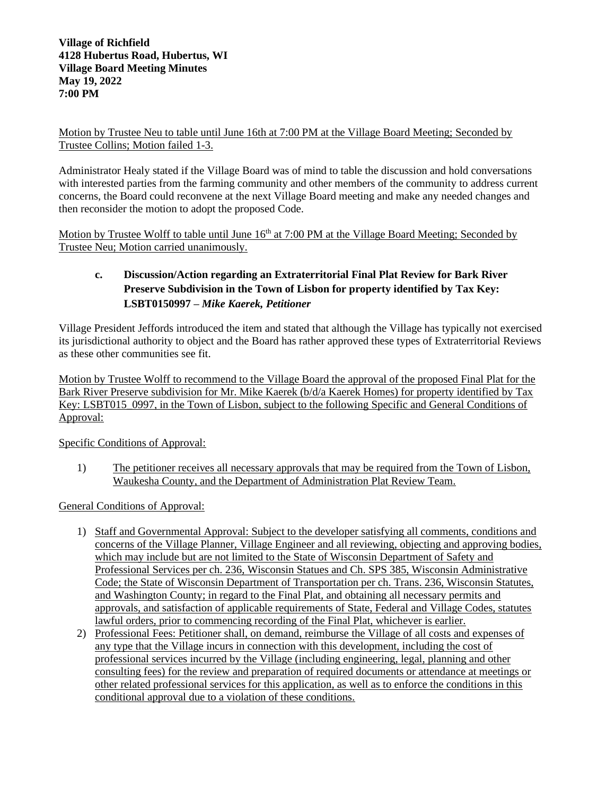Motion by Trustee Neu to table until June 16th at 7:00 PM at the Village Board Meeting; Seconded by Trustee Collins; Motion failed 1-3.

Administrator Healy stated if the Village Board was of mind to table the discussion and hold conversations with interested parties from the farming community and other members of the community to address current concerns, the Board could reconvene at the next Village Board meeting and make any needed changes and then reconsider the motion to adopt the proposed Code.

Motion by Trustee Wolff to table until June 16<sup>th</sup> at 7:00 PM at the Village Board Meeting; Seconded by Trustee Neu; Motion carried unanimously.

# **c. Discussion/Action regarding an Extraterritorial Final Plat Review for Bark River Preserve Subdivision in the Town of Lisbon for property identified by Tax Key: LSBT0150997** *– Mike Kaerek, Petitioner*

Village President Jeffords introduced the item and stated that although the Village has typically not exercised its jurisdictional authority to object and the Board has rather approved these types of Extraterritorial Reviews as these other communities see fit.

Motion by Trustee Wolff to recommend to the Village Board the approval of the proposed Final Plat for the Bark River Preserve subdivision for Mr. Mike Kaerek (b/d/a Kaerek Homes) for property identified by Tax Key: LSBT015\_0997, in the Town of Lisbon, subject to the following Specific and General Conditions of Approval:

Specific Conditions of Approval:

1) The petitioner receives all necessary approvals that may be required from the Town of Lisbon, Waukesha County, and the Department of Administration Plat Review Team.

General Conditions of Approval:

- 1) Staff and Governmental Approval: Subject to the developer satisfying all comments, conditions and concerns of the Village Planner, Village Engineer and all reviewing, objecting and approving bodies, which may include but are not limited to the State of Wisconsin Department of Safety and Professional Services per ch. 236, Wisconsin Statues and Ch. SPS 385, Wisconsin Administrative Code; the State of Wisconsin Department of Transportation per ch. Trans. 236, Wisconsin Statutes, and Washington County; in regard to the Final Plat, and obtaining all necessary permits and approvals, and satisfaction of applicable requirements of State, Federal and Village Codes, statutes lawful orders, prior to commencing recording of the Final Plat, whichever is earlier.
- 2) Professional Fees: Petitioner shall, on demand, reimburse the Village of all costs and expenses of any type that the Village incurs in connection with this development, including the cost of professional services incurred by the Village (including engineering, legal, planning and other consulting fees) for the review and preparation of required documents or attendance at meetings or other related professional services for this application, as well as to enforce the conditions in this conditional approval due to a violation of these conditions.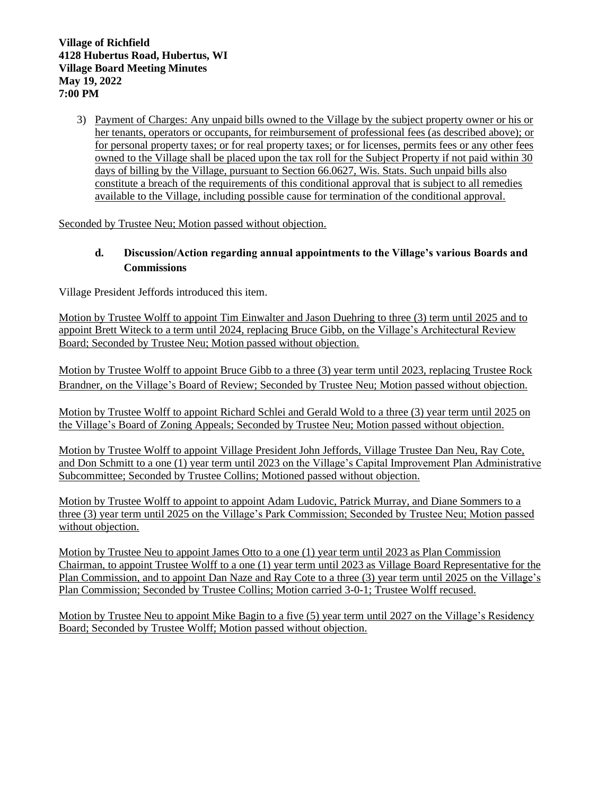3) Payment of Charges: Any unpaid bills owned to the Village by the subject property owner or his or her tenants, operators or occupants, for reimbursement of professional fees (as described above); or for personal property taxes; or for real property taxes; or for licenses, permits fees or any other fees owned to the Village shall be placed upon the tax roll for the Subject Property if not paid within 30 days of billing by the Village, pursuant to Section 66.0627, Wis. Stats. Such unpaid bills also constitute a breach of the requirements of this conditional approval that is subject to all remedies available to the Village, including possible cause for termination of the conditional approval.

Seconded by Trustee Neu; Motion passed without objection.

# **d. Discussion/Action regarding annual appointments to the Village's various Boards and Commissions**

Village President Jeffords introduced this item.

Motion by Trustee Wolff to appoint Tim Einwalter and Jason Duehring to three (3) term until 2025 and to appoint Brett Witeck to a term until 2024, replacing Bruce Gibb, on the Village's Architectural Review Board; Seconded by Trustee Neu; Motion passed without objection.

Motion by Trustee Wolff to appoint Bruce Gibb to a three (3) year term until 2023, replacing Trustee Rock Brandner, on the Village's Board of Review; Seconded by Trustee Neu; Motion passed without objection.

Motion by Trustee Wolff to appoint Richard Schlei and Gerald Wold to a three (3) year term until 2025 on the Village's Board of Zoning Appeals; Seconded by Trustee Neu; Motion passed without objection.

Motion by Trustee Wolff to appoint Village President John Jeffords, Village Trustee Dan Neu, Ray Cote, and Don Schmitt to a one (1) year term until 2023 on the Village's Capital Improvement Plan Administrative Subcommittee; Seconded by Trustee Collins; Motioned passed without objection.

Motion by Trustee Wolff to appoint to appoint Adam Ludovic, Patrick Murray, and Diane Sommers to a three (3) year term until 2025 on the Village's Park Commission; Seconded by Trustee Neu; Motion passed without objection.

Motion by Trustee Neu to appoint James Otto to a one (1) year term until 2023 as Plan Commission Chairman, to appoint Trustee Wolff to a one (1) year term until 2023 as Village Board Representative for the Plan Commission, and to appoint Dan Naze and Ray Cote to a three (3) year term until 2025 on the Village's Plan Commission; Seconded by Trustee Collins; Motion carried 3-0-1; Trustee Wolff recused.

Motion by Trustee Neu to appoint Mike Bagin to a five (5) year term until 2027 on the Village's Residency Board; Seconded by Trustee Wolff; Motion passed without objection.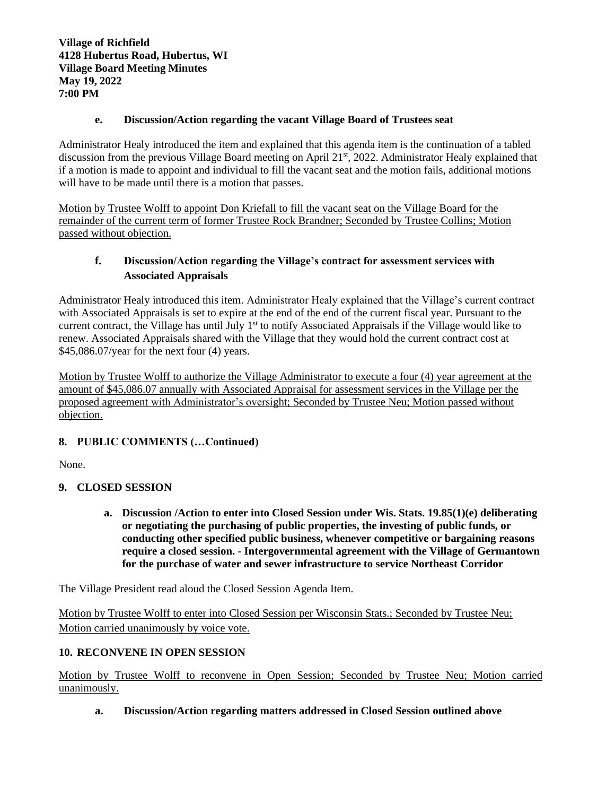## **e. Discussion/Action regarding the vacant Village Board of Trustees seat**

Administrator Healy introduced the item and explained that this agenda item is the continuation of a tabled discussion from the previous Village Board meeting on April 21<sup>st</sup>, 2022. Administrator Healy explained that if a motion is made to appoint and individual to fill the vacant seat and the motion fails, additional motions will have to be made until there is a motion that passes.

Motion by Trustee Wolff to appoint Don Kriefall to fill the vacant seat on the Village Board for the remainder of the current term of former Trustee Rock Brandner; Seconded by Trustee Collins; Motion passed without objection.

# **f. Discussion/Action regarding the Village's contract for assessment services with Associated Appraisals**

Administrator Healy introduced this item. Administrator Healy explained that the Village's current contract with Associated Appraisals is set to expire at the end of the end of the current fiscal year. Pursuant to the current contract, the Village has until July  $1<sup>st</sup>$  to notify Associated Appraisals if the Village would like to renew. Associated Appraisals shared with the Village that they would hold the current contract cost at \$45,086.07/year for the next four (4) years.

Motion by Trustee Wolff to authorize the Village Administrator to execute a four (4) year agreement at the amount of \$45,086.07 annually with Associated Appraisal for assessment services in the Village per the proposed agreement with Administrator's oversight; Seconded by Trustee Neu; Motion passed without objection.

# **8. PUBLIC COMMENTS (…Continued)**

None.

# **9. CLOSED SESSION**

**a. Discussion /Action to enter into Closed Session under Wis. Stats. 19.85(1)(e) deliberating or negotiating the purchasing of public properties, the investing of public funds, or conducting other specified public business, whenever competitive or bargaining reasons require a closed session. - Intergovernmental agreement with the Village of Germantown for the purchase of water and sewer infrastructure to service Northeast Corridor**

The Village President read aloud the Closed Session Agenda Item.

Motion by Trustee Wolff to enter into Closed Session per Wisconsin Stats.; Seconded by Trustee Neu; Motion carried unanimously by voice vote.

# **10. RECONVENE IN OPEN SESSION**

Motion by Trustee Wolff to reconvene in Open Session; Seconded by Trustee Neu; Motion carried unanimously.

# **a. Discussion/Action regarding matters addressed in Closed Session outlined above**